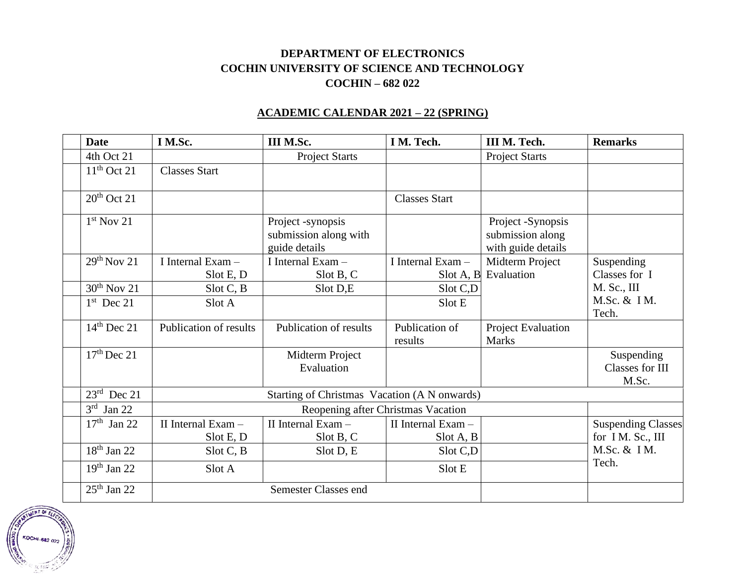## **DEPARTMENT OF ELECTRONICS COCHIN UNIVERSITY OF SCIENCE AND TECHNOLOGY COCHIN – 682 022**

## **ACADEMIC CALENDAR 2021 – 22 (SPRING)**

| <b>Date</b>               | I M.Sc.                                      | III M.Sc.                                                   | I M. Tech.                      | III M. Tech.                                                | <b>Remarks</b>                                |
|---------------------------|----------------------------------------------|-------------------------------------------------------------|---------------------------------|-------------------------------------------------------------|-----------------------------------------------|
| 4th Oct 21                |                                              | <b>Project Starts</b>                                       |                                 | <b>Project Starts</b>                                       |                                               |
| $11th$ Oct 21             | <b>Classes Start</b>                         |                                                             |                                 |                                                             |                                               |
| $20th$ Oct 21             |                                              |                                                             | <b>Classes Start</b>            |                                                             |                                               |
| $1st$ Nov 21              |                                              | Project -synopsis<br>submission along with<br>guide details |                                 | Project -Synopsis<br>submission along<br>with guide details |                                               |
| $29th$ Nov 21             | I Internal $Exam -$<br>Slot E, D             | I Internal $Exam -$<br>Slot B, C                            | I Internal $Exam -$             | Midterm Project<br>Slot A, B Evaluation                     | Suspending<br>Classes for I                   |
| $30th$ Nov 21             | Slot C, B                                    | Slot D,E                                                    | Slot C,D                        |                                                             | M. Sc., III                                   |
| $1st$ Dec 21              | Slot A                                       |                                                             | Slot E                          |                                                             | M.Sc. & IM.<br>Tech.                          |
| $14th$ Dec 21             | Publication of results                       | Publication of results                                      | Publication of<br>results       | Project Evaluation<br><b>Marks</b>                          |                                               |
| $17th$ Dec 21             |                                              | Midterm Project<br>Evaluation                               |                                 |                                                             | Suspending<br>Classes for III<br>M.Sc.        |
| $23rd$ Dec 21             | Starting of Christmas Vacation (A N onwards) |                                                             |                                 |                                                             |                                               |
| 3 <sup>rd</sup><br>Jan 22 | Reopening after Christmas Vacation           |                                                             |                                 |                                                             |                                               |
| $17th$ Jan 22             | II Internal Exam -<br>Slot E, D              | II Internal Exam -<br>Slot B, C                             | II Internal Exam -<br>Slot A, B |                                                             | <b>Suspending Classes</b><br>for IM. Sc., III |
| $18th$ Jan 22             | Slot C, B                                    | Slot D, E                                                   | Slot C,D                        |                                                             | M.Sc. & IM.                                   |
| $19th$ Jan 22             | Slot A                                       |                                                             | Slot E                          |                                                             | Tech.                                         |
| $25th$ Jan 22             |                                              | Semester Classes end                                        |                                 |                                                             |                                               |